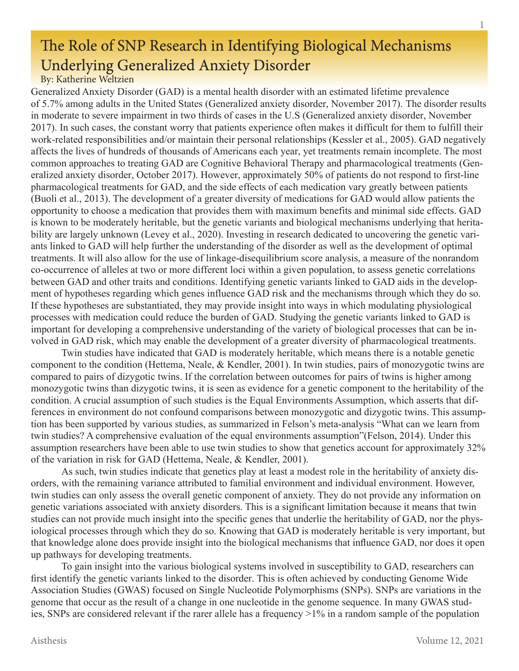## The Role of SNP Research in Identifying Biological Mechanisms Underlying Generalized Anxiety Disorder

By: Katherine Weltzien

Generalized Anxiety Disorder (GAD) is a mental health disorder with an estimated lifetime prevalence of 5.7% among adults in the United States (Generalized anxiety disorder, November 2017). The disorder results in moderate to severe impairment in two thirds of cases in the U.S (Generalized anxiety disorder, November 2017). In such cases, the constant worry that patients experience often makes it difficult for them to fulfill their work-related responsibilities and/or maintain their personal relationships (Kessler et al., 2005). GAD negatively affects the lives of hundreds of thousands of Americans each year, yet treatments remain incomplete. The most common approaches to treating GAD are Cognitive Behavioral Therapy and pharmacological treatments (Generalized anxiety disorder, October 2017). However, approximately 50% of patients do not respond to first-line pharmacological treatments for GAD, and the side effects of each medication vary greatly between patients (Buoli et al., 2013). The development of a greater diversity of medications for GAD would allow patients the opportunity to choose a medication that provides them with maximum benefits and minimal side effects. GAD is known to be moderately heritable, but the genetic variants and biological mechanisms underlying that heritability are largely unknown (Levey et al., 2020). Investing in research dedicated to uncovering the genetic variants linked to GAD will help further the understanding of the disorder as well as the development of optimal treatments. It will also allow for the use of linkage-disequilibrium score analysis, a measure of the nonrandom co-occurrence of alleles at two or more different loci within a given population, to assess genetic correlations between GAD and other traits and conditions. Identifying genetic variants linked to GAD aids in the development of hypotheses regarding which genes influence GAD risk and the mechanisms through which they do so. If these hypotheses are substantiated, they may provide insight into ways in which modulating physiological processes with medication could reduce the burden of GAD. Studying the genetic variants linked to GAD is important for developing a comprehensive understanding of the variety of biological processes that can be involved in GAD risk, which may enable the development of a greater diversity of pharmacological treatments.

Twin studies have indicated that GAD is moderately heritable, which means there is a notable genetic component to the condition (Hettema, Neale, & Kendler, 2001). In twin studies, pairs of monozygotic twins are compared to pairs of dizygotic twins. If the correlation between outcomes for pairs of twins is higher among monozygotic twins than dizygotic twins, it is seen as evidence for a genetic component to the heritability of the condition. A crucial assumption of such studies is the Equal Environments Assumption, which asserts that differences in environment do not confound comparisons between monozygotic and dizygotic twins. This assumption has been supported by various studies, as summarized in Felson's meta-analysis "What can we learn from twin studies? A comprehensive evaluation of the equal environments assumption"(Felson, 2014). Under this assumption researchers have been able to use twin studies to show that genetics account for approximately 32% of the variation in risk for GAD (Hettema, Neale, & Kendler, 2001).

As such, twin studies indicate that genetics play at least a modest role in the heritability of anxiety disorders, with the remaining variance attributed to familial environment and individual environment. However, twin studies can only assess the overall genetic component of anxiety. They do not provide any information on genetic variations associated with anxiety disorders. This is a significant limitation because it means that twin studies can not provide much insight into the specific genes that underlie the heritability of GAD, nor the physiological processes through which they do so. Knowing that GAD is moderately heritable is very important, but that knowledge alone does provide insight into the biological mechanisms that influence GAD, nor does it open up pathways for developing treatments.

To gain insight into the various biological systems involved in susceptibility to GAD, researchers can first identify the genetic variants linked to the disorder. This is often achieved by conducting Genome Wide Association Studies (GWAS) focused on Single Nucleotide Polymorphisms (SNPs). SNPs are variations in the genome that occur as the result of a change in one nucleotide in the genome sequence. In many GWAS studies, SNPs are considered relevant if the rarer allele has a frequency >1% in a random sample of the population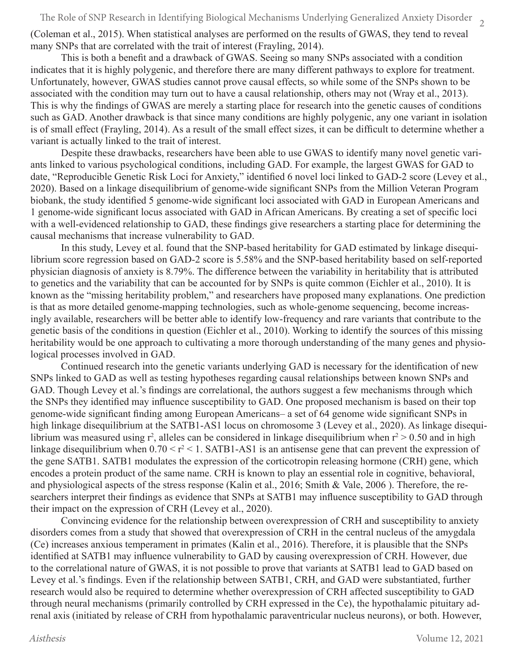2 The Role of SNP Research in Identifying Biological Mechanisms Underlying Generalized Anxiety Disorder

(Coleman et al., 2015). When statistical analyses are performed on the results of GWAS, they tend to reveal many SNPs that are correlated with the trait of interest (Frayling, 2014).

This is both a benefit and a drawback of GWAS. Seeing so many SNPs associated with a condition indicates that it is highly polygenic, and therefore there are many different pathways to explore for treatment. Unfortunately, however, GWAS studies cannot prove causal effects, so while some of the SNPs shown to be associated with the condition may turn out to have a causal relationship, others may not (Wray et al., 2013). This is why the findings of GWAS are merely a starting place for research into the genetic causes of conditions such as GAD. Another drawback is that since many conditions are highly polygenic, any one variant in isolation is of small effect (Frayling, 2014). As a result of the small effect sizes, it can be difficult to determine whether a variant is actually linked to the trait of interest.

Despite these drawbacks, researchers have been able to use GWAS to identify many novel genetic variants linked to various psychological conditions, including GAD. For example, the largest GWAS for GAD to date, "Reproducible Genetic Risk Loci for Anxiety," identified 6 novel loci linked to GAD-2 score (Levey et al., 2020). Based on a linkage disequilibrium of genome-wide significant SNPs from the Million Veteran Program biobank, the study identified 5 genome-wide significant loci associated with GAD in European Americans and 1 genome-wide significant locus associated with GAD in African Americans. By creating a set of specific loci with a well-evidenced relationship to GAD, these findings give researchers a starting place for determining the causal mechanisms that increase vulnerability to GAD.

In this study, Levey et al. found that the SNP-based heritability for GAD estimated by linkage disequilibrium score regression based on GAD-2 score is 5.58% and the SNP-based heritability based on self-reported physician diagnosis of anxiety is 8.79%. The difference between the variability in heritability that is attributed to genetics and the variability that can be accounted for by SNPs is quite common (Eichler et al., 2010). It is known as the "missing heritability problem," and researchers have proposed many explanations. One prediction is that as more detailed genome-mapping technologies, such as whole-genome sequencing, become increasingly available, researchers will be better able to identify low-frequency and rare variants that contribute to the genetic basis of the conditions in question (Eichler et al., 2010). Working to identify the sources of this missing heritability would be one approach to cultivating a more thorough understanding of the many genes and physiological processes involved in GAD.

Continued research into the genetic variants underlying GAD is necessary for the identification of new SNPs linked to GAD as well as testing hypotheses regarding causal relationships between known SNPs and GAD. Though Levey et al.'s findings are correlational, the authors suggest a few mechanisms through which the SNPs they identified may influence susceptibility to GAD. One proposed mechanism is based on their top genome-wide significant finding among European Americans– a set of 64 genome wide significant SNPs in high linkage disequilibrium at the SATB1-AS1 locus on chromosome 3 (Levey et al., 2020). As linkage disequilibrium was measured using  $r^2$ , alleles can be considered in linkage disequilibrium when  $r^2 > 0.50$  and in high linkage disequilibrium when  $0.70 \le r^2 \le 1$ . SATB1-AS1 is an antisense gene that can prevent the expression of the gene SATB1. SATB1 modulates the expression of the corticotropin releasing hormone (CRH) gene, which encodes a protein product of the same name. CRH is known to play an essential role in cognitive, behavioral, and physiological aspects of the stress response (Kalin et al., 2016; Smith & Vale, 2006 ). Therefore, the researchers interpret their findings as evidence that SNPs at SATB1 may influence susceptibility to GAD through their impact on the expression of CRH (Levey et al., 2020).

Convincing evidence for the relationship between overexpression of CRH and susceptibility to anxiety disorders comes from a study that showed that overexpression of CRH in the central nucleus of the amygdala (Ce) increases anxious temperament in primates (Kalin et al., 2016). Therefore, it is plausible that the SNPs identified at SATB1 may influence vulnerability to GAD by causing overexpression of CRH. However, due to the correlational nature of GWAS, it is not possible to prove that variants at SATB1 lead to GAD based on Levey et al.'s findings. Even if the relationship between SATB1, CRH, and GAD were substantiated, further research would also be required to determine whether overexpression of CRH affected susceptibility to GAD through neural mechanisms (primarily controlled by CRH expressed in the Ce), the hypothalamic pituitary adrenal axis (initiated by release of CRH from hypothalamic paraventricular nucleus neurons), or both. However,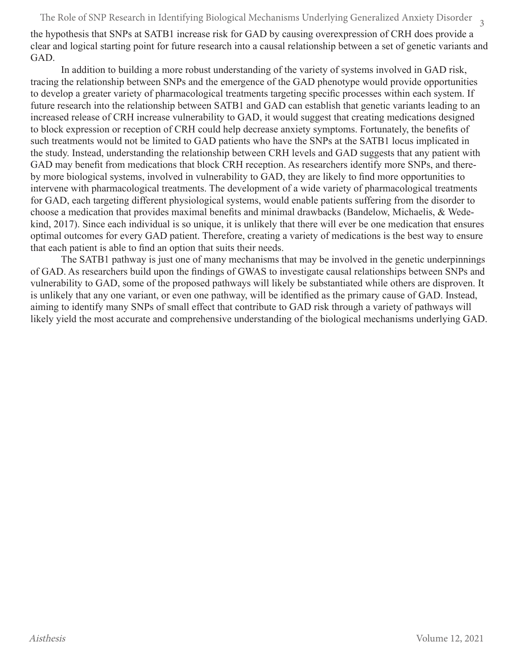The Role of SNP Research in Identifying Biological Mechanisms Underlying Generalized Anxiety Disorder  $\quad_3$ 

the hypothesis that SNPs at SATB1 increase risk for GAD by causing overexpression of CRH does provide a clear and logical starting point for future research into a causal relationship between a set of genetic variants and GAD.

In addition to building a more robust understanding of the variety of systems involved in GAD risk, tracing the relationship between SNPs and the emergence of the GAD phenotype would provide opportunities to develop a greater variety of pharmacological treatments targeting specific processes within each system. If future research into the relationship between SATB1 and GAD can establish that genetic variants leading to an increased release of CRH increase vulnerability to GAD, it would suggest that creating medications designed to block expression or reception of CRH could help decrease anxiety symptoms. Fortunately, the benefits of such treatments would not be limited to GAD patients who have the SNPs at the SATB1 locus implicated in the study. Instead, understanding the relationship between CRH levels and GAD suggests that any patient with GAD may benefit from medications that block CRH reception. As researchers identify more SNPs, and thereby more biological systems, involved in vulnerability to GAD, they are likely to find more opportunities to intervene with pharmacological treatments. The development of a wide variety of pharmacological treatments for GAD, each targeting different physiological systems, would enable patients suffering from the disorder to choose a medication that provides maximal benefits and minimal drawbacks (Bandelow, Michaelis, & Wedekind, 2017). Since each individual is so unique, it is unlikely that there will ever be one medication that ensures optimal outcomes for every GAD patient. Therefore, creating a variety of medications is the best way to ensure that each patient is able to find an option that suits their needs.

The SATB1 pathway is just one of many mechanisms that may be involved in the genetic underpinnings of GAD. As researchers build upon the findings of GWAS to investigate causal relationships between SNPs and vulnerability to GAD, some of the proposed pathways will likely be substantiated while others are disproven. It is unlikely that any one variant, or even one pathway, will be identified as the primary cause of GAD. Instead, aiming to identify many SNPs of small effect that contribute to GAD risk through a variety of pathways will likely yield the most accurate and comprehensive understanding of the biological mechanisms underlying GAD.